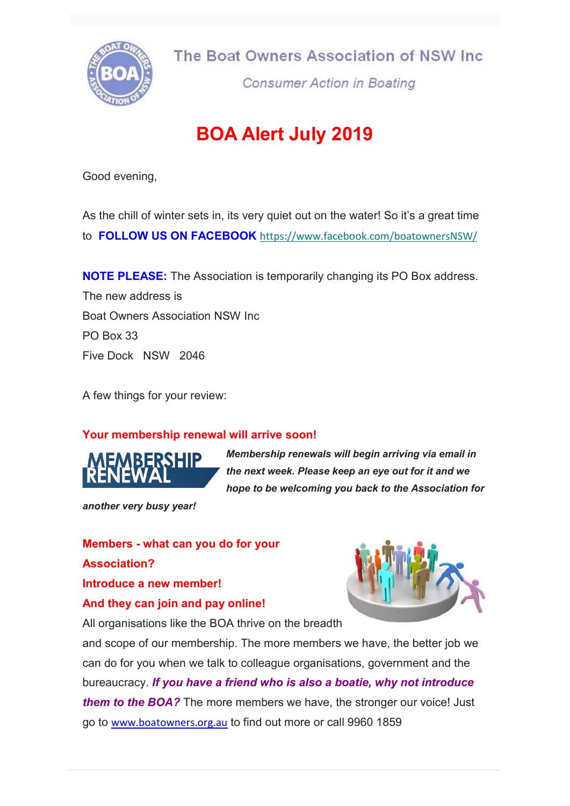

The Boat Owners Association of NSW Inc.

**Consumer Action in Boating** 

# BOA Alert July 2019

Good evening,

As the chill of winter sets in, its very quiet out on the water! So it's a great time to FOLLOW US ON FACEBOOK https://www.facebook.com/boatownersNSW/

**NOTE PLEASE:** The Association is temporarily changing its PO Box address. The new address is Boat Owners Association NSW Inc PO Box 33 Five Dock NSW 2046

A few things for your review:

# Your membership renewal will arrive soon!



Membership renewals will begin arriving via email in the next week. Please keep an eye out for it and we hope to be welcoming you back to the Association for

another very busy year!

Members - what can you do for your Association? Introduce a new member!

### And they can join and pay online!

All organisations like the BOA thrive on the breadth

and scope of our membership. The more members we have, the better job we can do for you when we talk to colleague organisations, government and the bureaucracy. If you have a friend who is also a boatie, why not introduce them to the BOA? The more members we have, the stronger our voice! Just go to www.boatowners.org.au to find out more or call 9960 1859

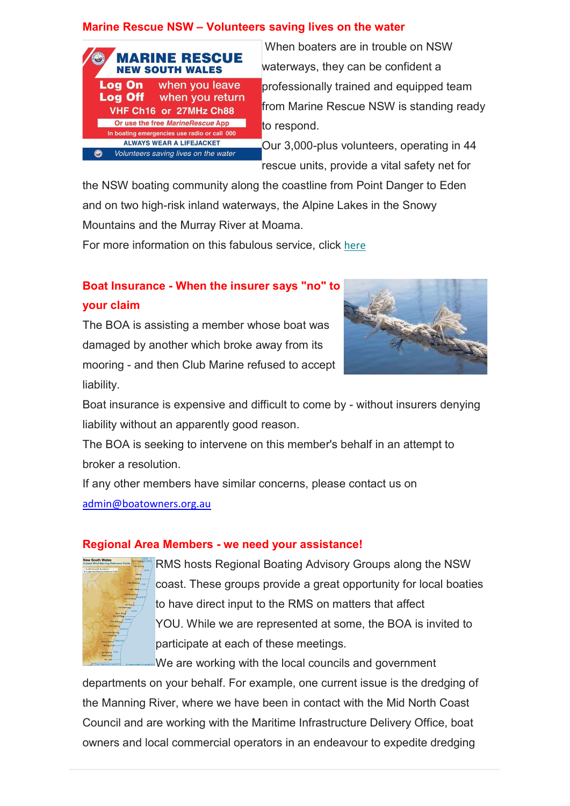## Marine Rescue NSW – Volunteers saving lives on the water



 When boaters are in trouble on NSW waterways, they can be confident a professionally trained and equipped team from Marine Rescue NSW is standing ready to respond.

Our 3,000-plus volunteers, operating in 44 rescue units, provide a vital safety net for

the NSW boating community along the coastline from Point Danger to Eden and on two high-risk inland waterways, the Alpine Lakes in the Snowy Mountains and the Murray River at Moama.

For more information on this fabulous service, click here

# Boat Insurance - When the insurer says "no" to your claim

The BOA is assisting a member whose boat was damaged by another which broke away from its mooring - and then Club Marine refused to accept liability.



Boat insurance is expensive and difficult to come by - without insurers denying liability without an apparently good reason.

The BOA is seeking to intervene on this member's behalf in an attempt to broker a resolution.

If any other members have similar concerns, please contact us on admin@boatowners.org.au

### Regional Area Members - we need your assistance!



RMS hosts Regional Boating Advisory Groups along the NSW coast. These groups provide a great opportunity for local boaties to have direct input to the RMS on matters that affect YOU. While we are represented at some, the BOA is invited to participate at each of these meetings.

We are working with the local councils and government departments on your behalf. For example, one current issue is the dredging of the Manning River, where we have been in contact with the Mid North Coast Council and are working with the Maritime Infrastructure Delivery Office, boat owners and local commercial operators in an endeavour to expedite dredging